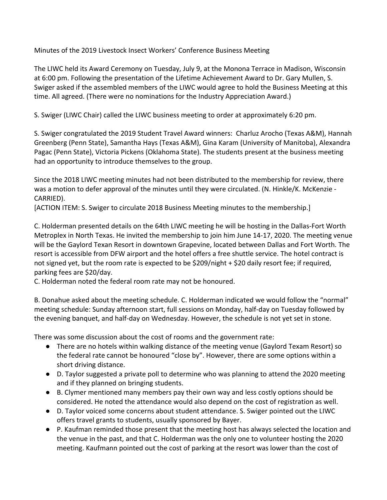Minutes of the 2019 Livestock Insect Workers' Conference Business Meeting

The LIWC held its Award Ceremony on Tuesday, July 9, at the Monona Terrace in Madison, Wisconsin at 6:00 pm. Following the presentation of the Lifetime Achievement Award to Dr. Gary Mullen, S. Swiger asked if the assembled members of the LIWC would agree to hold the Business Meeting at this time. All agreed. (There were no nominations for the Industry Appreciation Award.)

S. Swiger (LIWC Chair) called the LIWC business meeting to order at approximately 6:20 pm.

S. Swiger congratulated the 2019 Student Travel Award winners: Charluz Arocho (Texas A&M), Hannah Greenberg (Penn State), Samantha Hays (Texas A&M), Gina Karam (University of Manitoba), Alexandra Pagac (Penn State), Victoria Pickens (Oklahoma State). The students present at the business meeting had an opportunity to introduce themselves to the group.

Since the 2018 LIWC meeting minutes had not been distributed to the membership for review, there was a motion to defer approval of the minutes until they were circulated. (N. Hinkle/K. McKenzie - CARRIED).

[ACTION ITEM: S. Swiger to circulate 2018 Business Meeting minutes to the membership.]

C. Holderman presented details on the 64th LIWC meeting he will be hosting in the Dallas-Fort Worth Metroplex in North Texas. He invited the membership to join him June 14-17, 2020. The meeting venue will be the Gaylord Texan Resort in downtown Grapevine, located between Dallas and Fort Worth. The resort is accessible from DFW airport and the hotel offers a free shuttle service. The hotel contract is not signed yet, but the room rate is expected to be \$209/night + \$20 daily resort fee; if required, parking fees are \$20/day.

C. Holderman noted the federal room rate may not be honoured.

B. Donahue asked about the meeting schedule. C. Holderman indicated we would follow the "normal" meeting schedule: Sunday afternoon start, full sessions on Monday, half-day on Tuesday followed by the evening banquet, and half-day on Wednesday. However, the schedule is not yet set in stone.

There was some discussion about the cost of rooms and the government rate:

- There are no hotels within walking distance of the meeting venue (Gaylord Texam Resort) so the federal rate cannot be honoured "close by". However, there are some options within a short driving distance.
- D. Taylor suggested a private poll to determine who was planning to attend the 2020 meeting and if they planned on bringing students.
- B. Clymer mentioned many members pay their own way and less costly options should be considered. He noted the attendance would also depend on the cost of registration as well.
- D. Taylor voiced some concerns about student attendance. S. Swiger pointed out the LIWC offers travel grants to students, usually sponsored by Bayer.
- P. Kaufman reminded those present that the meeting host has always selected the location and the venue in the past, and that C. Holderman was the only one to volunteer hosting the 2020 meeting. Kaufmann pointed out the cost of parking at the resort was lower than the cost of